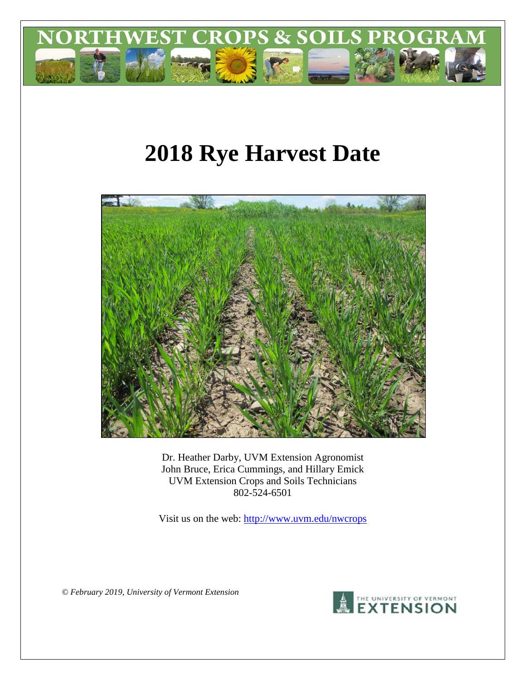

# **2018 Rye Harvest Date**



Dr. Heather Darby, UVM Extension Agronomist John Bruce, Erica Cummings, and Hillary Emick UVM Extension Crops and Soils Technicians 802-524-6501

Visit us on the web: <http://www.uvm.edu/nwcrops>

*© February 2019, University of Vermont Extension*

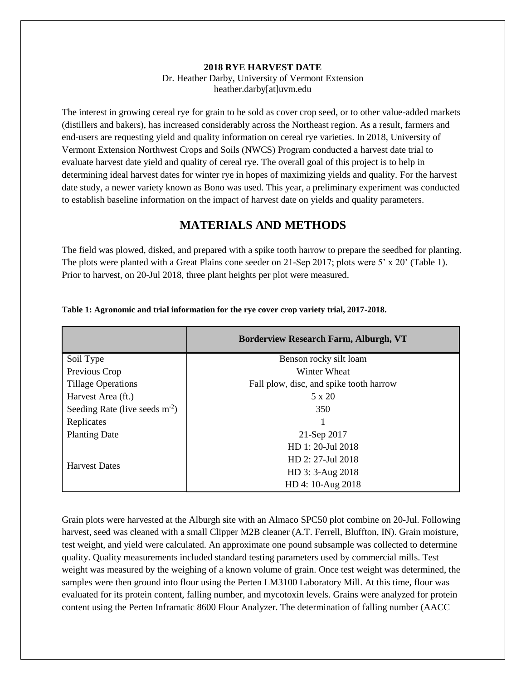#### **2018 RYE HARVEST DATE**

Dr. Heather Darby, University of Vermont Extension heather.darby[at]uvm.edu

The interest in growing cereal rye for grain to be sold as cover crop seed, or to other value-added markets (distillers and bakers), has increased considerably across the Northeast region. As a result, farmers and end-users are requesting yield and quality information on cereal rye varieties. In 2018, University of Vermont Extension Northwest Crops and Soils (NWCS) Program conducted a harvest date trial to evaluate harvest date yield and quality of cereal rye. The overall goal of this project is to help in determining ideal harvest dates for winter rye in hopes of maximizing yields and quality. For the harvest date study, a newer variety known as Bono was used. This year, a preliminary experiment was conducted to establish baseline information on the impact of harvest date on yields and quality parameters.

## **MATERIALS AND METHODS**

The field was plowed, disked, and prepared with a spike tooth harrow to prepare the seedbed for planting. The plots were planted with a Great Plains cone seeder on 21-Sep 2017; plots were 5' x 20' (Table 1). Prior to harvest, on 20-Jul 2018, three plant heights per plot were measured.

|                                  | <b>Borderview Research Farm, Alburgh, VT</b> |  |  |
|----------------------------------|----------------------------------------------|--|--|
| Soil Type                        | Benson rocky silt loam                       |  |  |
| Previous Crop                    | Winter Wheat                                 |  |  |
| <b>Tillage Operations</b>        | Fall plow, disc, and spike tooth harrow      |  |  |
| Harvest Area (ft.)               | 5 x 20                                       |  |  |
| Seeding Rate (live seeds $m-2$ ) | 350                                          |  |  |
| Replicates                       |                                              |  |  |
| <b>Planting Date</b>             | 21-Sep 2017                                  |  |  |
|                                  | HD 1: 20-Jul 2018                            |  |  |
| <b>Harvest Dates</b>             | HD 2: 27-Jul 2018                            |  |  |
|                                  | HD 3: 3-Aug 2018                             |  |  |
|                                  | HD 4: 10-Aug 2018                            |  |  |

#### **Table 1: Agronomic and trial information for the rye cover crop variety trial, 2017-2018.**

Grain plots were harvested at the Alburgh site with an Almaco SPC50 plot combine on 20-Jul. Following harvest, seed was cleaned with a small Clipper M2B cleaner (A.T. Ferrell, Bluffton, IN). Grain moisture, test weight, and yield were calculated. An approximate one pound subsample was collected to determine quality. Quality measurements included standard testing parameters used by commercial mills. Test weight was measured by the weighing of a known volume of grain. Once test weight was determined, the samples were then ground into flour using the Perten LM3100 Laboratory Mill. At this time, flour was evaluated for its protein content, falling number, and mycotoxin levels. Grains were analyzed for protein content using the Perten Inframatic 8600 Flour Analyzer. The determination of falling number (AACC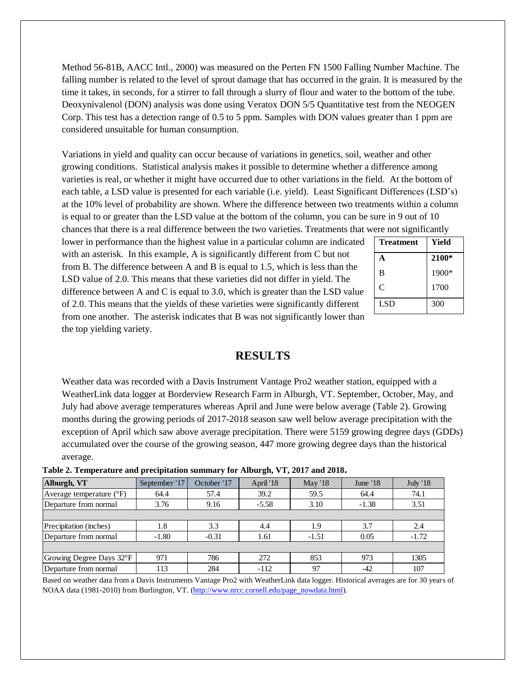Method 56-81B, AACC Intl., 2000) was measured on the Perten FN 1500 Falling Number Machine. The falling number is related to the level of sprout damage that has occurred in the grain. It is measured by the time it takes, in seconds, for a stirrer to fall through a slurry of flour and water to the bottom of the tube. Deoxynivalenol (DON) analysis was done using Veratox DON 5/5 Quantitative test from the NEOGEN Corp. This test has a detection range of 0.5 to 5 ppm. Samples with DON values greater than 1 ppm are considered unsuitable for human consumption.

Variations in yield and quality can occur because of variations in genetics, soil, weather and other growing conditions. Statistical analysis makes it possible to determine whether a difference among varieties is real, or whether it might have occurred due to other variations in the field. At the bottom of each table, a LSD value is presented for each variable (i.e. yield). Least Significant Differences (LSD's) at the 10% level of probability are shown. Where the difference between two treatments within a column is equal to or greater than the LSD value at the bottom of the column, you can be sure in 9 out of 10 chances that there is a real difference between the two varieties. Treatments that were not significantly

lower in performance than the highest value in a particular column are indicated with an asterisk. In this example, A is significantly different from C but not from B. The difference between A and B is equal to 1.5, which is less than the LSD value of 2.0. This means that these varieties did not differ in yield. The difference between A and C is equal to 3.0, which is greater than the LSD value of 2.0. This means that the yields of these varieties were significantly different from one another. The asterisk indicates that B was not significantly lower than the top yielding variety.

| <b>Treatment</b> | Yield |
|------------------|-------|
| A                | 2100* |
| B                | 1900* |
| C                | 1700  |
| <b>LSD</b>       | 300   |

## **RESULTS**

Weather data was recorded with a Davis Instrument Vantage Pro2 weather station, equipped with a WeatherLink data logger at Borderview Research Farm in Alburgh, VT. September, October, May, and July had above average temperatures whereas April and June were below average (Table 2). Growing months during the growing periods of 2017-2018 season saw well below average precipitation with the exception of April which saw above average precipitation. There were 5159 growing degree days (GDDs) accumulated over the course of the growing season, 447 more growing degree days than the historical average.

| Alburgh, VT                       | September '17 | October '17 | April '18 | <b>May '18</b> | June $18$ | <b>July '18</b> |
|-----------------------------------|---------------|-------------|-----------|----------------|-----------|-----------------|
| Average temperature $(^{\circ}F)$ | 64.4          | 57.4        | 39.2      | 59.5           | 64.4      | 74.1            |
| Departure from normal             | 3.76          | 9.16        | $-5.58$   | 3.10           | $-1.38$   | 3.51            |
|                                   |               |             |           |                |           |                 |
| Precipitation (inches)            | 1.8           | 3.3         | 4.4       | 1.9            | 3.7       | 2.4             |
| Departure from normal             | $-1.80$       | $-0.31$     | 1.61      | $-1.51$        | 0.05      | $-1.72$         |
|                                   |               |             |           |                |           |                 |
| Growing Degree Days 32°F          | 971           | 786         | 272       | 853            | 973       | 1305            |
| Departure from normal             | 113           | 284         | $-112$    | 97             | $-42$     | 107             |

**Table 2. Temperature and precipitation summary for Alburgh, VT, 2017 and 2018.**

Based on weather data from a Davis Instruments Vantage Pro2 with WeatherLink data logger. Historical averages are for 30 years of NOAA data (1981-2010) from Burlington, VT. [\(http://www.nrcc.cornell.edu/page\\_nowdata.html\)](http://www.nrcc.cornell.edu/page_nowdata.html).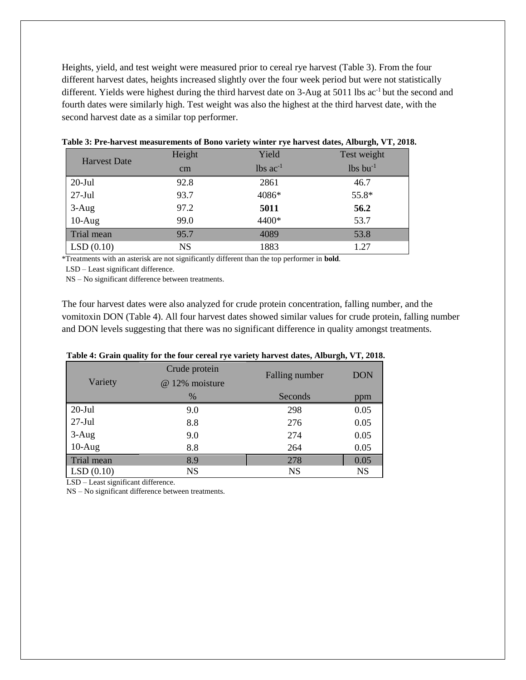Heights, yield, and test weight were measured prior to cereal rye harvest (Table 3). From the four different harvest dates, heights increased slightly over the four week period but were not statistically different. Yields were highest during the third harvest date on 3-Aug at 5011 lbs ac<sup>-1</sup> but the second and fourth dates were similarly high. Test weight was also the highest at the third harvest date, with the second harvest date as a similar top performer.

| <b>Harvest Date</b> | Height    | Yield                  | Test weight      |
|---------------------|-----------|------------------------|------------------|
|                     | $\rm cm$  | $lbs$ ac <sup>-1</sup> | $lbs$ bu $^{-1}$ |
| $20$ -Jul           | 92.8      | 2861                   | 46.7             |
| $27$ -Jul           | 93.7      | 4086*                  | 55.8*            |
| $3-Aug$             | 97.2      | 5011                   | 56.2             |
| $10-Aug$            | 99.0      | 4400*                  | 53.7             |
| Trial mean          | 95.7      | 4089                   | 53.8             |
| LSD(0.10)           | <b>NS</b> | 1883                   | 1.27             |

**Table 3: Pre-harvest measurements of Bono variety winter rye harvest dates, Alburgh, VT, 2018.**

\*Treatments with an asterisk are not significantly different than the top performer in **bold**.

LSD – Least significant difference.

NS – No significant difference between treatments.

The four harvest dates were also analyzed for crude protein concentration, falling number, and the vomitoxin DON (Table 4). All four harvest dates showed similar values for crude protein, falling number and DON levels suggesting that there was no significant difference in quality amongst treatments.

|            | $\overline{\phantom{a}}$ | $\overline{\phantom{a}}$ | $\bullet$<br>$\overline{\phantom{a}}$ |
|------------|--------------------------|--------------------------|---------------------------------------|
|            | Crude protein            | Falling number           | <b>DON</b>                            |
| Variety    | @ 12% moisture           |                          |                                       |
|            | $\%$                     | Seconds                  | ppm                                   |
| $20$ -Jul  | 9.0                      | 298                      | 0.05                                  |
| $27-Jul$   | 8.8                      | 276                      | 0.05                                  |
| $3-Aug$    | 9.0                      | 274                      | 0.05                                  |
| $10-Aug$   | 8.8                      | 264                      | 0.05                                  |
| Trial mean | 8.9                      | 278                      | 0.05                                  |
| LSD(0.10)  | <b>NS</b>                | <b>NS</b>                | <b>NS</b>                             |

#### **Table 4: Grain quality for the four cereal rye variety harvest dates, Alburgh, VT, 2018.**

LSD – Least significant difference.

NS – No significant difference between treatments.